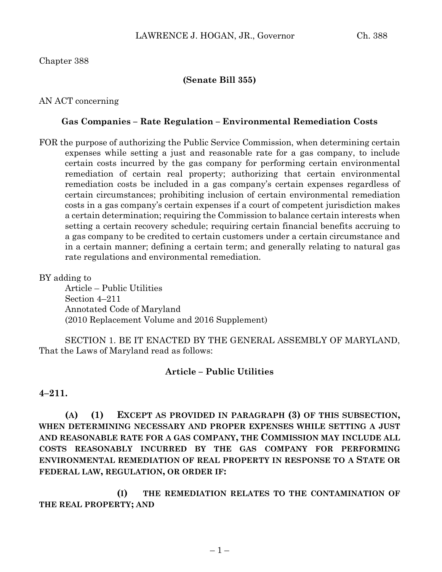## Chapter 388

## **(Senate Bill 355)**

## AN ACT concerning

### **Gas Companies – Rate Regulation – Environmental Remediation Costs**

FOR the purpose of authorizing the Public Service Commission, when determining certain expenses while setting a just and reasonable rate for a gas company, to include certain costs incurred by the gas company for performing certain environmental remediation of certain real property; authorizing that certain environmental remediation costs be included in a gas company's certain expenses regardless of certain circumstances; prohibiting inclusion of certain environmental remediation costs in a gas company's certain expenses if a court of competent jurisdiction makes a certain determination; requiring the Commission to balance certain interests when setting a certain recovery schedule; requiring certain financial benefits accruing to a gas company to be credited to certain customers under a certain circumstance and in a certain manner; defining a certain term; and generally relating to natural gas rate regulations and environmental remediation.

#### BY adding to

Article – Public Utilities Section 4–211 Annotated Code of Maryland (2010 Replacement Volume and 2016 Supplement)

SECTION 1. BE IT ENACTED BY THE GENERAL ASSEMBLY OF MARYLAND, That the Laws of Maryland read as follows:

#### **Article – Public Utilities**

#### **4–211.**

**(A) (1) EXCEPT AS PROVIDED IN PARAGRAPH (3) OF THIS SUBSECTION, WHEN DETERMINING NECESSARY AND PROPER EXPENSES WHILE SETTING A JUST AND REASONABLE RATE FOR A GAS COMPANY, THE COMMISSION MAY INCLUDE ALL COSTS REASONABLY INCURRED BY THE GAS COMPANY FOR PERFORMING ENVIRONMENTAL REMEDIATION OF REAL PROPERTY IN RESPONSE TO A STATE OR FEDERAL LAW, REGULATION, OR ORDER IF:**

**(I) THE REMEDIATION RELATES TO THE CONTAMINATION OF THE REAL PROPERTY; AND**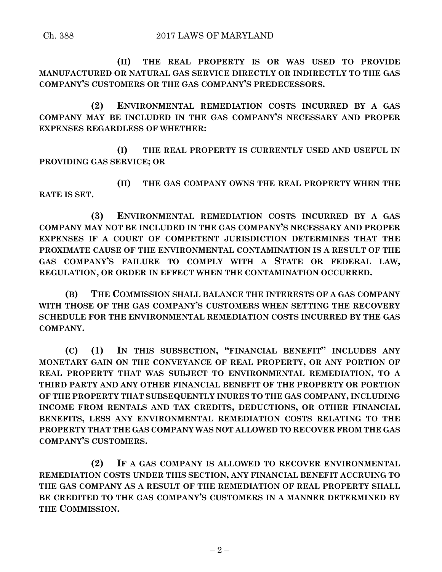**(II) THE REAL PROPERTY IS OR WAS USED TO PROVIDE MANUFACTURED OR NATURAL GAS SERVICE DIRECTLY OR INDIRECTLY TO THE GAS COMPANY'S CUSTOMERS OR THE GAS COMPANY'S PREDECESSORS.**

**(2) ENVIRONMENTAL REMEDIATION COSTS INCURRED BY A GAS COMPANY MAY BE INCLUDED IN THE GAS COMPANY'S NECESSARY AND PROPER EXPENSES REGARDLESS OF WHETHER:**

**(I) THE REAL PROPERTY IS CURRENTLY USED AND USEFUL IN PROVIDING GAS SERVICE; OR**

**(II) THE GAS COMPANY OWNS THE REAL PROPERTY WHEN THE RATE IS SET.**

**(3) ENVIRONMENTAL REMEDIATION COSTS INCURRED BY A GAS COMPANY MAY NOT BE INCLUDED IN THE GAS COMPANY'S NECESSARY AND PROPER EXPENSES IF A COURT OF COMPETENT JURISDICTION DETERMINES THAT THE PROXIMATE CAUSE OF THE ENVIRONMENTAL CONTAMINATION IS A RESULT OF THE GAS COMPANY'S FAILURE TO COMPLY WITH A STATE OR FEDERAL LAW, REGULATION, OR ORDER IN EFFECT WHEN THE CONTAMINATION OCCURRED.**

**(B) THE COMMISSION SHALL BALANCE THE INTERESTS OF A GAS COMPANY WITH THOSE OF THE GAS COMPANY'S CUSTOMERS WHEN SETTING THE RECOVERY SCHEDULE FOR THE ENVIRONMENTAL REMEDIATION COSTS INCURRED BY THE GAS COMPANY.**

**(C) (1) IN THIS SUBSECTION, "FINANCIAL BENEFIT" INCLUDES ANY MONETARY GAIN ON THE CONVEYANCE OF REAL PROPERTY, OR ANY PORTION OF REAL PROPERTY THAT WAS SUBJECT TO ENVIRONMENTAL REMEDIATION, TO A THIRD PARTY AND ANY OTHER FINANCIAL BENEFIT OF THE PROPERTY OR PORTION OF THE PROPERTY THAT SUBSEQUENTLY INURES TO THE GAS COMPANY, INCLUDING INCOME FROM RENTALS AND TAX CREDITS, DEDUCTIONS, OR OTHER FINANCIAL BENEFITS, LESS ANY ENVIRONMENTAL REMEDIATION COSTS RELATING TO THE PROPERTY THAT THE GAS COMPANY WAS NOT ALLOWED TO RECOVER FROM THE GAS COMPANY'S CUSTOMERS.**

**(2) IF A GAS COMPANY IS ALLOWED TO RECOVER ENVIRONMENTAL REMEDIATION COSTS UNDER THIS SECTION, ANY FINANCIAL BENEFIT ACCRUING TO THE GAS COMPANY AS A RESULT OF THE REMEDIATION OF REAL PROPERTY SHALL BE CREDITED TO THE GAS COMPANY'S CUSTOMERS IN A MANNER DETERMINED BY THE COMMISSION.**